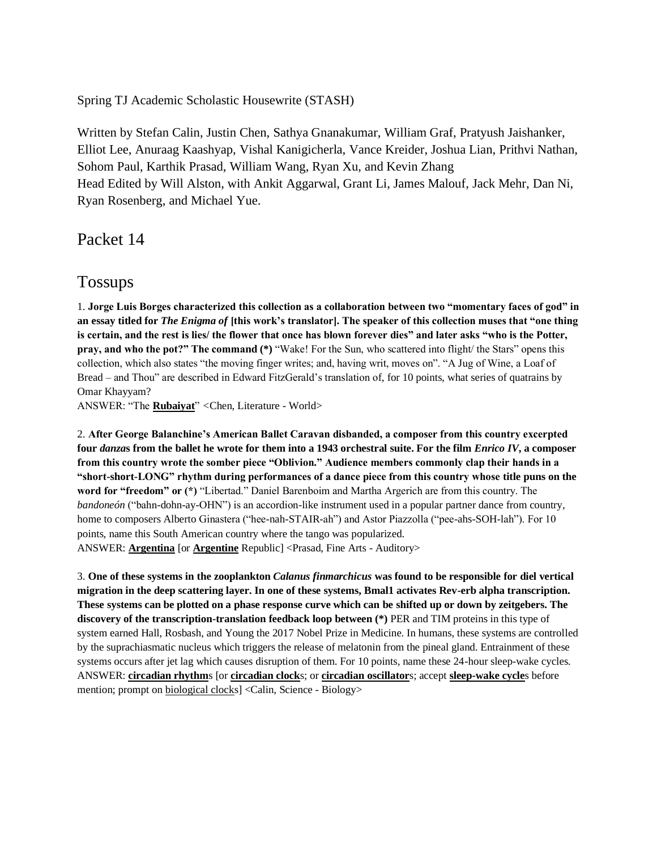Spring TJ Academic Scholastic Housewrite (STASH)

Written by Stefan Calin, Justin Chen, Sathya Gnanakumar, William Graf, Pratyush Jaishanker, Elliot Lee, Anuraag Kaashyap, Vishal Kanigicherla, Vance Kreider, Joshua Lian, Prithvi Nathan, Sohom Paul, Karthik Prasad, William Wang, Ryan Xu, and Kevin Zhang Head Edited by Will Alston, with Ankit Aggarwal, Grant Li, James Malouf, Jack Mehr, Dan Ni, Ryan Rosenberg, and Michael Yue.

Packet 14

# Tossups

1. **Jorge Luis Borges characterized this collection as a collaboration between two "momentary faces of god" in an essay titled for** *The Enigma of* **[this work's translator]. The speaker of this collection muses that "one thing is certain, and the rest is lies/ the flower that once has blown forever dies" and later asks "who is the Potter, pray, and who the pot?" The command (\*) "Wake! For the Sun, who scattered into flight/ the Stars" opens this** collection, which also states "the moving finger writes; and, having writ, moves on". "A Jug of Wine, a Loaf of Bread – and Thou" are described in Edward FitzGerald's translation of, for 10 points, what series of quatrains by Omar Khayyam?

ANSWER: "The **Rubaiyat**" *<*Chen, Literature - World>

2. **After George Balanchine's American Ballet Caravan disbanded, a composer from this country excerpted four** *danza***s from the ballet he wrote for them into a 1943 orchestral suite. For the film** *Enrico IV***, a composer from this country wrote the somber piece "Oblivion." Audience members commonly clap their hands in a "short-short-LONG" rhythm during performances of a dance piece from this country whose title puns on the word for "freedom" or (\*)** "Libertad." Daniel Barenboim and Martha Argerich are from this country. The *bandoneón* ("bahn-dohn-ay-OHN") is an accordion-like instrument used in a popular partner dance from country, home to composers Alberto Ginastera ("hee-nah-STAIR-ah") and Astor Piazzolla ("pee-ahs-SOH-lah"). For 10 points, name this South American country where the tango was popularized. ANSWER: **Argentina** [or **Argentine** Republic] <Prasad, Fine Arts - Auditory>

3. **One of these systems in the zooplankton** *Calanus finmarchicus* **was found to be responsible for diel vertical migration in the deep scattering layer. In one of these systems, Bmal1 activates Rev-erb alpha transcription. These systems can be plotted on a phase response curve which can be shifted up or down by zeitgebers. The discovery of the transcription-translation feedback loop between (\*)** PER and TIM proteins in this type of system earned Hall, Rosbash, and Young the 2017 Nobel Prize in Medicine. In humans, these systems are controlled by the suprachiasmatic nucleus which triggers the release of melatonin from the pineal gland. Entrainment of these systems occurs after jet lag which causes disruption of them. For 10 points, name these 24-hour sleep-wake cycles. ANSWER: **circadian rhythm**s [or **circadian clock**s; or **circadian oscillator**s; accept **sleep-wake cycle**s before mention; prompt on biological clocks] <Calin, Science - Biology>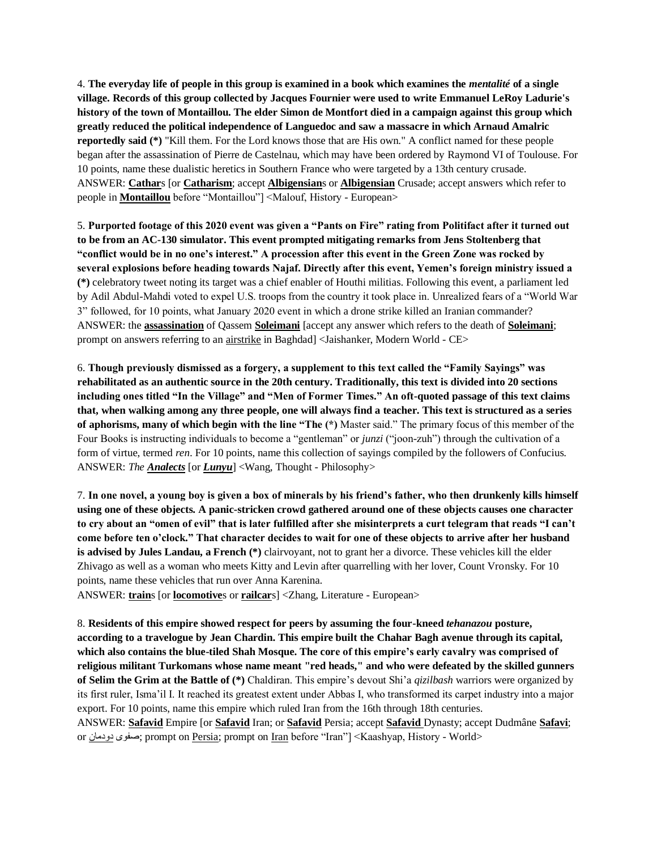4. **The everyday life of people in this group is examined in a book which examines the** *mentalité* **of a single village. Records of this group collected by Jacques Fournier were used to write Emmanuel LeRoy Ladurie's history of the town of Montaillou. The elder Simon de Montfort died in a campaign against this group which greatly reduced the political independence of Languedoc and saw a massacre in which Arnaud Amalric reportedly said (\*)** "Kill them. For the Lord knows those that are His own." A conflict named for these people began after the assassination of Pierre de Castelnau, which may have been ordered by Raymond VI of Toulouse. For 10 points, name these dualistic heretics in Southern France who were targeted by a 13th century crusade. ANSWER: **Cathar**s [or **Catharism**; accept **Albigensian**s or **Albigensian** Crusade; accept answers which refer to people in **Montaillou** before "Montaillou"] <Malouf, History - European>

5. **Purported footage of this 2020 event was given a "Pants on Fire" rating from Politifact after it turned out to be from an AC-130 simulator. This event prompted mitigating remarks from Jens Stoltenberg that "conflict would be in no one's interest." A procession after this event in the Green Zone was rocked by several explosions before heading towards Najaf. Directly after this event, Yemen's foreign ministry issued a (\*)** celebratory tweet noting its target was a chief enabler of Houthi militias. Following this event, a parliament led by Adil Abdul-Mahdi voted to expel U.S. troops from the country it took place in. Unrealized fears of a "World War 3" followed, for 10 points, what January 2020 event in which a drone strike killed an Iranian commander? ANSWER: the **assassination** of Qassem **Soleimani** [accept any answer which refers to the death of **Soleimani**; prompt on answers referring to an airstrike in Baghdad] <Jaishanker, Modern World - CE>

6. **Though previously dismissed as a forgery, a supplement to this text called the "Family Sayings" was rehabilitated as an authentic source in the 20th century. Traditionally, this text is divided into 20 sections including ones titled "In the Village" and "Men of Former Times." An oft-quoted passage of this text claims that, when walking among any three people, one will always find a teacher. This text is structured as a series of aphorisms, many of which begin with the line "The (\*)** Master said." The primary focus of this member of the Four Books is instructing individuals to become a "gentleman" or *junzi* ("joon-zuh") through the cultivation of a form of virtue, termed *ren*. For 10 points, name this collection of sayings compiled by the followers of Confucius. ANSWER: *The Analects* [or *Lunyu*] <Wang, Thought - Philosophy>

7. **In one novel, a young boy is given a box of minerals by his friend's father, who then drunkenly kills himself using one of these objects. A panic-stricken crowd gathered around one of these objects causes one character to cry about an "omen of evil" that is later fulfilled after she misinterprets a curt telegram that reads "I can't come before ten o'clock." That character decides to wait for one of these objects to arrive after her husband is advised by Jules Landau, a French (\*)** clairvoyant, not to grant her a divorce. These vehicles kill the elder Zhivago as well as a woman who meets Kitty and Levin after quarrelling with her lover, Count Vronsky. For 10 points, name these vehicles that run over Anna Karenina.

ANSWER: **train**s [or **locomotive**s or **railcar**s] <Zhang, Literature - European>

8. **Residents of this empire showed respect for peers by assuming the four-kneed** *tehanazou* **posture, according to a travelogue by Jean Chardin. This empire built the Chahar Bagh avenue through its capital, which also contains the blue-tiled Shah Mosque. The core of this empire's early cavalry was comprised of religious militant Turkomans whose name meant "red heads," and who were defeated by the skilled gunners of Selim the Grim at the Battle of (\*)** Chaldiran. This empire's devout Shi'a *qizilbash* warriors were organized by its first ruler, Isma'il I. It reached its greatest extent under Abbas I, who transformed its carpet industry into a major export. For 10 points, name this empire which ruled Iran from the 16th through 18th centuries.

ANSWER: **Safavid** Empire [or **Safavid** Iran; or **Safavid** Persia; accept **Safavid** Dynasty; accept Dudmâne **Safavi**; or دودمان صفوی ;prompt on Persia; prompt on Iran before "Iran"] <Kaashyap, History - World>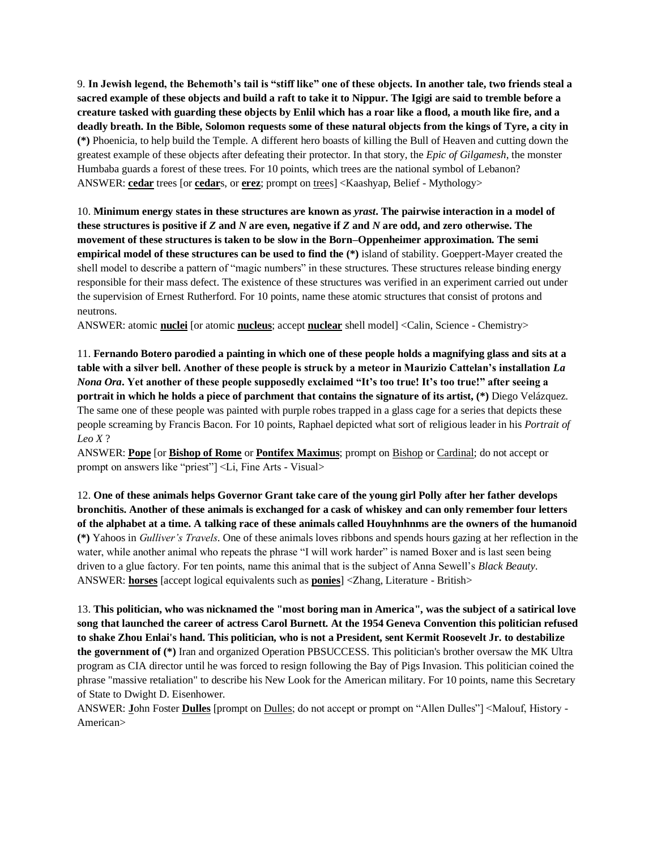9. **In Jewish legend, the Behemoth's tail is "stiff like" one of these objects. In another tale, two friends steal a sacred example of these objects and build a raft to take it to Nippur. The Igigi are said to tremble before a creature tasked with guarding these objects by Enlil which has a roar like a flood, a mouth like fire, and a deadly breath. In the Bible, Solomon requests some of these natural objects from the kings of Tyre, a city in (\*)** Phoenicia, to help build the Temple. A different hero boasts of killing the Bull of Heaven and cutting down the greatest example of these objects after defeating their protector. In that story, the *Epic of Gilgamesh*, the monster Humbaba guards a forest of these trees. For 10 points, which trees are the national symbol of Lebanon? ANSWER: **cedar** trees [or **cedar**s, or **erez**; prompt on trees] <Kaashyap, Belief - Mythology>

10. **Minimum energy states in these structures are known as** *yrast***. The pairwise interaction in a model of these structures is positive if** *Z* **and** *N* **are even, negative if** *Z* **and** *N* **are odd, and zero otherwise. The movement of these structures is taken to be slow in the Born–Oppenheimer approximation. The semi empirical model of these structures can be used to find the** (\*) island of stability. Goeppert-Mayer created the shell model to describe a pattern of "magic numbers" in these structures. These structures release binding energy responsible for their mass defect. The existence of these structures was verified in an experiment carried out under the supervision of Ernest Rutherford. For 10 points, name these atomic structures that consist of protons and neutrons.

ANSWER: atomic **nuclei** [or atomic **nucleus**; accept **nuclear** shell model] <Calin, Science - Chemistry>

11. **Fernando Botero parodied a painting in which one of these people holds a magnifying glass and sits at a table with a silver bell. Another of these people is struck by a meteor in Maurizio Cattelan's installation** *La Nona Ora***. Yet another of these people supposedly exclaimed "It's too true! It's too true!" after seeing a portrait in which he holds a piece of parchment that contains the signature of its artist, (\*)** Diego Velázquez. The same one of these people was painted with purple robes trapped in a glass cage for a series that depicts these people screaming by Francis Bacon. For 10 points, Raphael depicted what sort of religious leader in his *Portrait of Leo X* ?

ANSWER: **Pope** [or **Bishop of Rome** or **Pontifex Maximus**; prompt on Bishop or Cardinal; do not accept or prompt on answers like "priest"] <Li, Fine Arts - Visual>

12. **One of these animals helps Governor Grant take care of the young girl Polly after her father develops bronchitis. Another of these animals is exchanged for a cask of whiskey and can only remember four letters of the alphabet at a time. A talking race of these animals called Houyhnhnms are the owners of the humanoid (\*)** Yahoos in *Gulliver's Travels*. One of these animals loves ribbons and spends hours gazing at her reflection in the water, while another animal who repeats the phrase "I will work harder" is named Boxer and is last seen being driven to a glue factory. For ten points, name this animal that is the subject of Anna Sewell's *Black Beauty*. ANSWER: **horses** [accept logical equivalents such as **ponies**] <Zhang, Literature - British>

13. **This politician, who was nicknamed the "most boring man in America", was the subject of a satirical love song that launched the career of actress Carol Burnett. At the 1954 Geneva Convention this politician refused to shake Zhou Enlai's hand. This politician, who is not a President, sent Kermit Roosevelt Jr. to destabilize the government of (\*)** Iran and organized Operation PBSUCCESS. This politician's brother oversaw the MK Ultra program as CIA director until he was forced to resign following the Bay of Pigs Invasion. This politician coined the phrase "massive retaliation" to describe his New Look for the American military. For 10 points, name this Secretary of State to Dwight D. Eisenhower.

ANSWER: **J**ohn Foster **Dulles** [prompt on Dulles; do not accept or prompt on "Allen Dulles"] <Malouf, History - American>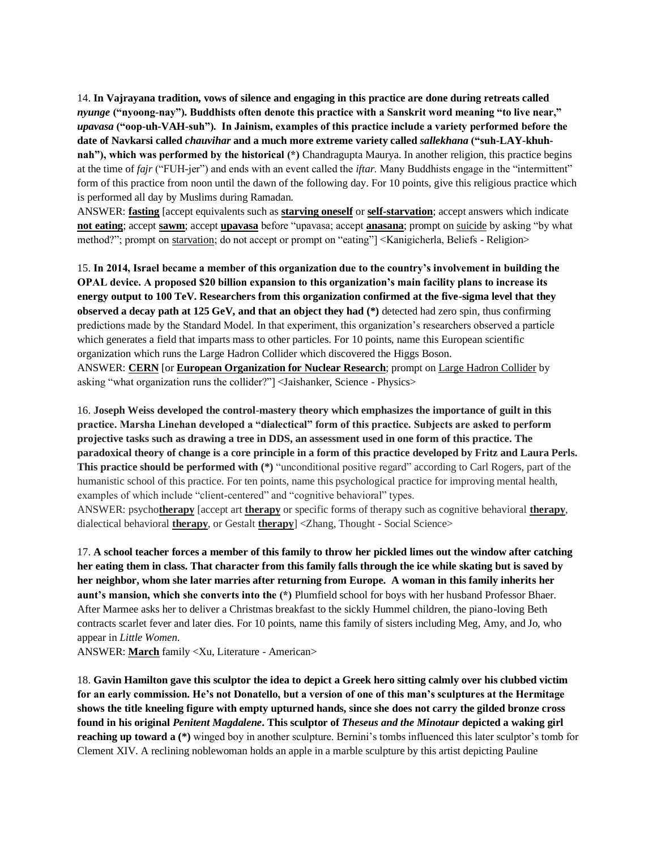14. **In Vajrayana tradition, vows of silence and engaging in this practice are done during retreats called**  *nyunge* **("nyoong-nay"). Buddhists often denote this practice with a Sanskrit word meaning "to live near,"**  *upavasa* **("oop-uh-VAH-suh"). In Jainism, examples of this practice include a variety performed before the date of Navkarsi called** *chauvihar* **and a much more extreme variety called** *sallekhana* **("suh-LAY-khuhnah"), which was performed by the historical (\*)** Chandragupta Maurya. In another religion, this practice begins at the time of *fajr* ("FUH-jer") and ends with an event called the *iftar*. Many Buddhists engage in the "intermittent" form of this practice from noon until the dawn of the following day. For 10 points, give this religious practice which is performed all day by Muslims during Ramadan.

ANSWER: **fasting** [accept equivalents such as **starving oneself** or **self-starvation**; accept answers which indicate **not eating**; accept **sawm**; accept **upavasa** before "upavasa; accept **anasana**; prompt on suicide by asking "by what method?"; prompt on starvation; do not accept or prompt on "eating"] <Kanigicherla, Beliefs - Religion>

15. **In 2014, Israel became a member of this organization due to the country's involvement in building the OPAL device. A proposed \$20 billion expansion to this organization's main facility plans to increase its energy output to 100 TeV. Researchers from this organization confirmed at the five-sigma level that they observed a decay path at 125 GeV, and that an object they had (\*)** detected had zero spin, thus confirming predictions made by the Standard Model. In that experiment, this organization's researchers observed a particle which generates a field that imparts mass to other particles. For 10 points, name this European scientific organization which runs the Large Hadron Collider which discovered the Higgs Boson. ANSWER: **CERN** [or **European Organization for Nuclear Research**; prompt on Large Hadron Collider by asking "what organization runs the collider?"] <Jaishanker, Science - Physics>

16. **Joseph Weiss developed the control-mastery theory which emphasizes the importance of guilt in this practice. Marsha Linehan developed a "dialectical" form of this practice. Subjects are asked to perform projective tasks such as drawing a tree in DDS, an assessment used in one form of this practice. The paradoxical theory of change is a core principle in a form of this practice developed by Fritz and Laura Perls. This practice should be performed with (\*)** "unconditional positive regard" according to Carl Rogers, part of the humanistic school of this practice. For ten points, name this psychological practice for improving mental health, examples of which include "client-centered" and "cognitive behavioral" types. ANSWER: psycho**therapy** [accept art **therapy** or specific forms of therapy such as cognitive behavioral **therapy**, dialectical behavioral **therapy**, or Gestalt **therapy**] <Zhang, Thought - Social Science>

17. **A school teacher forces a member of this family to throw her pickled limes out the window after catching her eating them in class. That character from this family falls through the ice while skating but is saved by her neighbor, whom she later marries after returning from Europe. A woman in this family inherits her aunt's mansion, which she converts into the (\*)** Plumfield school for boys with her husband Professor Bhaer. After Marmee asks her to deliver a Christmas breakfast to the sickly Hummel children, the piano-loving Beth contracts scarlet fever and later dies. For 10 points, name this family of sisters including Meg, Amy, and Jo, who appear in *Little Women*.

ANSWER: **March** family <Xu, Literature - American>

18. **Gavin Hamilton gave this sculptor the idea to depict a Greek hero sitting calmly over his clubbed victim for an early commission. He's not Donatello, but a version of one of this man's sculptures at the Hermitage shows the title kneeling figure with empty upturned hands, since she does not carry the gilded bronze cross found in his original** *Penitent Magdalene***. This sculptor of** *Theseus and the Minotaur* **depicted a waking girl reaching up toward a (\*)** winged boy in another sculpture. Bernini's tombs influenced this later sculptor's tomb for Clement XIV. A reclining noblewoman holds an apple in a marble sculpture by this artist depicting Pauline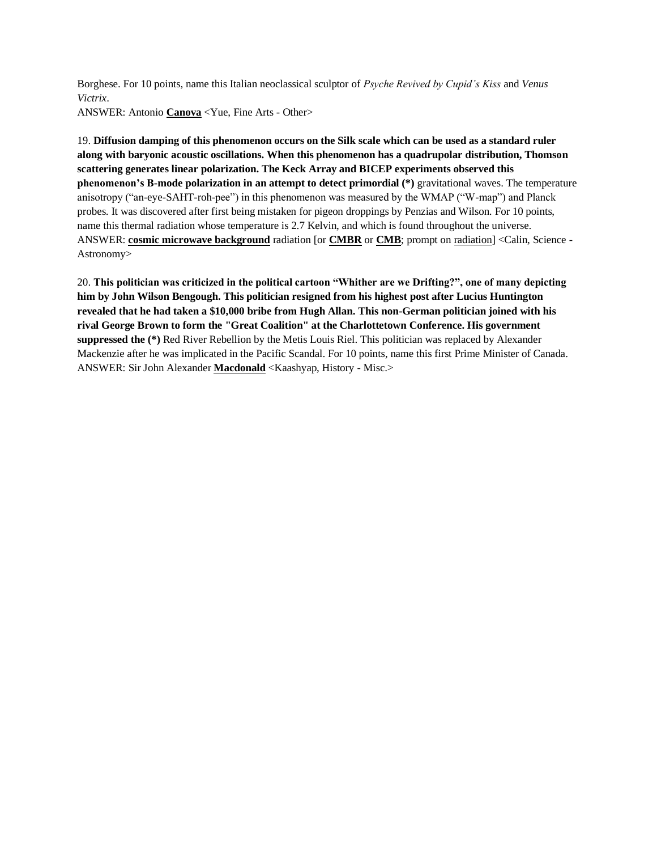Borghese. For 10 points, name this Italian neoclassical sculptor of *Psyche Revived by Cupid's Kiss* and *Venus Victrix*.

ANSWER: Antonio **Canova** <Yue, Fine Arts - Other>

19. **Diffusion damping of this phenomenon occurs on the Silk scale which can be used as a standard ruler along with baryonic acoustic oscillations. When this phenomenon has a quadrupolar distribution, Thomson scattering generates linear polarization. The Keck Array and BICEP experiments observed this phenomenon's B-mode polarization in an attempt to detect primordial (\*)** gravitational waves. The temperature anisotropy ("an-eye-SAHT-roh-pee") in this phenomenon was measured by the WMAP ("W-map") and Planck probes. It was discovered after first being mistaken for pigeon droppings by Penzias and Wilson. For 10 points, name this thermal radiation whose temperature is 2.7 Kelvin, and which is found throughout the universe. ANSWER: **cosmic microwave background** radiation [or **CMBR** or **CMB**; prompt on radiation] <Calin, Science - Astronomy>

20. **This politician was criticized in the political cartoon "Whither are we Drifting?", one of many depicting him by John Wilson Bengough. This politician resigned from his highest post after Lucius Huntington revealed that he had taken a \$10,000 bribe from Hugh Allan. This non-German politician joined with his rival George Brown to form the "Great Coalition" at the Charlottetown Conference. His government suppressed the (\*)** Red River Rebellion by the Metis Louis Riel. This politician was replaced by Alexander Mackenzie after he was implicated in the Pacific Scandal. For 10 points, name this first Prime Minister of Canada. ANSWER: Sir John Alexander **Macdonald** <Kaashyap, History - Misc.>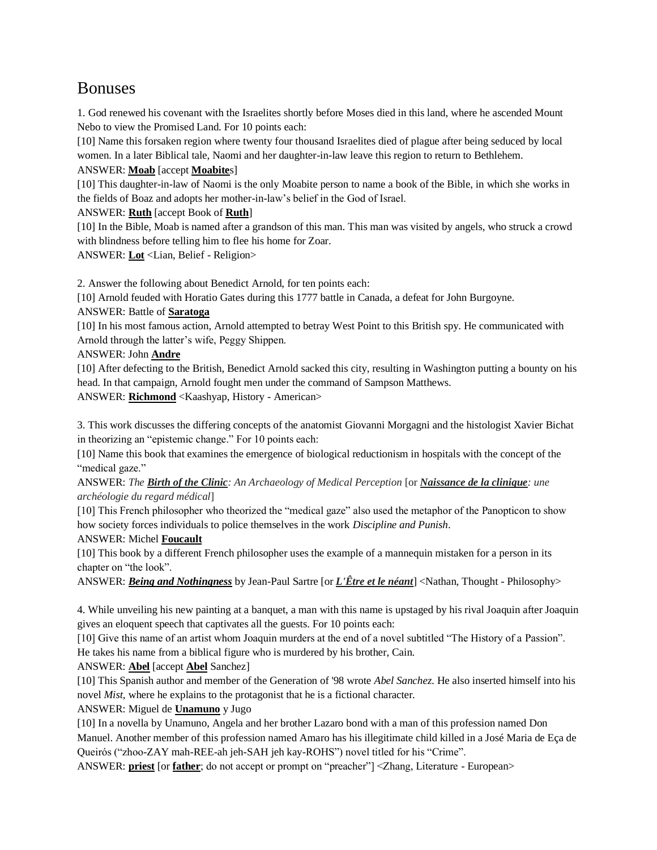# Bonuses

1. God renewed his covenant with the Israelites shortly before Moses died in this land, where he ascended Mount Nebo to view the Promised Land. For 10 points each:

[10] Name this forsaken region where twenty four thousand Israelites died of plague after being seduced by local women. In a later Biblical tale, Naomi and her daughter-in-law leave this region to return to Bethlehem.

# ANSWER: **Moab** [accept **Moabite**s]

[10] This daughter-in-law of Naomi is the only Moabite person to name a book of the Bible, in which she works in the fields of Boaz and adopts her mother-in-law's belief in the God of Israel.

ANSWER: **Ruth** [accept Book of **Ruth**]

[10] In the Bible, Moab is named after a grandson of this man. This man was visited by angels, who struck a crowd with blindness before telling him to flee his home for Zoar.

ANSWER: **Lot** <Lian, Belief - Religion>

2. Answer the following about Benedict Arnold, for ten points each:

[10] Arnold feuded with Horatio Gates during this 1777 battle in Canada, a defeat for John Burgoyne.

#### ANSWER: Battle of **Saratoga**

[10] In his most famous action, Arnold attempted to betray West Point to this British spy. He communicated with Arnold through the latter's wife, Peggy Shippen.

ANSWER: John **Andre**

[10] After defecting to the British, Benedict Arnold sacked this city, resulting in Washington putting a bounty on his head. In that campaign, Arnold fought men under the command of Sampson Matthews.

ANSWER: **Richmond** <Kaashyap, History - American>

3. This work discusses the differing concepts of the anatomist Giovanni Morgagni and the histologist Xavier Bichat in theorizing an "epistemic change." For 10 points each:

[10] Name this book that examines the emergence of biological reductionism in hospitals with the concept of the "medical gaze."

ANSWER: *The Birth of the Clinic: An Archaeology of Medical Perception* [or *Naissance de la clinique: une archéologie du regard médical*]

[10] This French philosopher who theorized the "medical gaze" also used the metaphor of the Panopticon to show how society forces individuals to police themselves in the work *Discipline and Punish*.

#### ANSWER: Michel **Foucault**

[10] This book by a different French philosopher uses the example of a mannequin mistaken for a person in its chapter on "the look".

ANSWER: *Being and Nothingness* by Jean-Paul Sartre [or *L'Être et le néant*] <Nathan, Thought - Philosophy>

4. While unveiling his new painting at a banquet, a man with this name is upstaged by his rival Joaquin after Joaquin gives an eloquent speech that captivates all the guests. For 10 points each:

[10] Give this name of an artist whom Joaquin murders at the end of a novel subtitled "The History of a Passion".

He takes his name from a biblical figure who is murdered by his brother, Cain.

ANSWER: **Abel** [accept **Abel** Sanchez]

[10] This Spanish author and member of the Generation of '98 wrote *Abel Sanchez*. He also inserted himself into his novel *Mist*, where he explains to the protagonist that he is a fictional character.

ANSWER: Miguel de **Unamuno** y Jugo

[10] In a novella by Unamuno, Angela and her brother Lazaro bond with a man of this profession named Don Manuel. Another member of this profession named Amaro has his illegitimate child killed in a José Maria de Eça de Queirós ("zhoo-ZAY mah-REE-ah jeh-SAH jeh kay-ROHS") novel titled for his "Crime".

ANSWER: **priest** [or **father**; do not accept or prompt on "preacher"] <Zhang, Literature - European>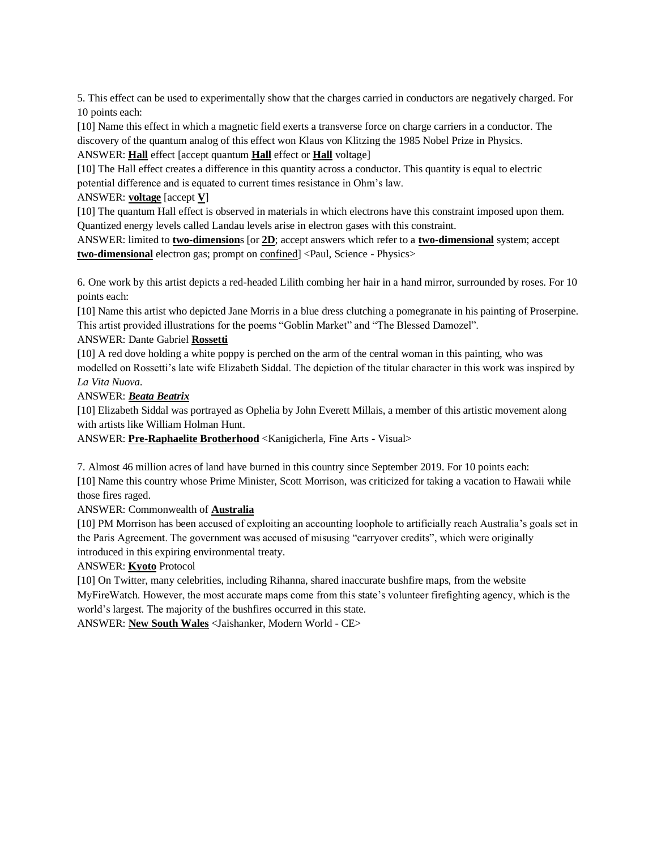5. This effect can be used to experimentally show that the charges carried in conductors are negatively charged. For 10 points each:

[10] Name this effect in which a magnetic field exerts a transverse force on charge carriers in a conductor. The discovery of the quantum analog of this effect won Klaus von Klitzing the 1985 Nobel Prize in Physics.

ANSWER: **Hall** effect [accept quantum **Hall** effect or **Hall** voltage]

[10] The Hall effect creates a difference in this quantity across a conductor. This quantity is equal to electric potential difference and is equated to current times resistance in Ohm's law.

# ANSWER: **voltage** [accept **V**]

[10] The quantum Hall effect is observed in materials in which electrons have this constraint imposed upon them. Quantized energy levels called Landau levels arise in electron gases with this constraint.

ANSWER: limited to **two-dimension**s [or **2D**; accept answers which refer to a **two-dimensional** system; accept **two-dimensional** electron gas; prompt on confined] <Paul, Science - Physics>

6. One work by this artist depicts a red-headed Lilith combing her hair in a hand mirror, surrounded by roses. For 10 points each:

[10] Name this artist who depicted Jane Morris in a blue dress clutching a pomegranate in his painting of Proserpine. This artist provided illustrations for the poems "Goblin Market" and "The Blessed Damozel".

# ANSWER: Dante Gabriel **Rossetti**

[10] A red dove holding a white poppy is perched on the arm of the central woman in this painting, who was modelled on Rossetti's late wife Elizabeth Siddal. The depiction of the titular character in this work was inspired by *La Vita Nuova*.

# ANSWER: *Beata Beatrix*

[10] Elizabeth Siddal was portrayed as Ophelia by John Everett Millais, a member of this artistic movement along with artists like William Holman Hunt.

ANSWER: **Pre-Raphaelite Brotherhood** <Kanigicherla, Fine Arts - Visual>

7. Almost 46 million acres of land have burned in this country since September 2019. For 10 points each:

[10] Name this country whose Prime Minister, Scott Morrison, was criticized for taking a vacation to Hawaii while those fires raged.

# ANSWER: Commonwealth of **Australia**

[10] PM Morrison has been accused of exploiting an accounting loophole to artificially reach Australia's goals set in the Paris Agreement. The government was accused of misusing "carryover credits", which were originally introduced in this expiring environmental treaty.

# ANSWER: **Kyoto** Protocol

[10] On Twitter, many celebrities, including Rihanna, shared inaccurate bushfire maps, from the website MyFireWatch. However, the most accurate maps come from this state's volunteer firefighting agency, which is the world's largest. The majority of the bushfires occurred in this state.

ANSWER: **New South Wales** <Jaishanker, Modern World - CE>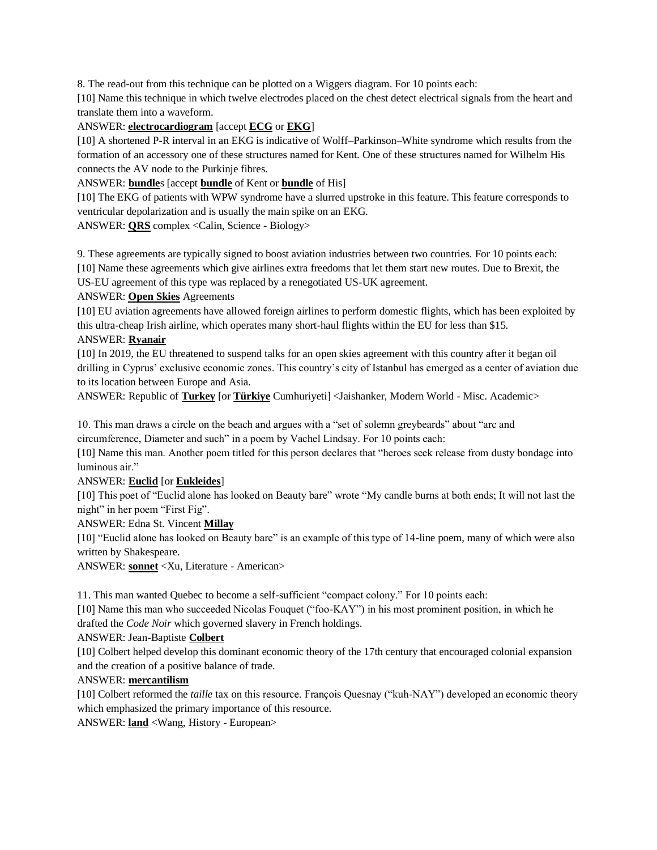8. The read-out from this technique can be plotted on a Wiggers diagram. For 10 points each:

[10] Name this technique in which twelve electrodes placed on the chest detect electrical signals from the heart and translate them into a waveform.

#### ANSWER: **electrocardiogram** [accept **ECG** or **EKG**]

[10] A shortened P-R interval in an EKG is indicative of Wolff-Parkinson-White syndrome which results from the formation of an accessory one of these structures named for Kent. One of these structures named for Wilhelm His connects the AV node to the Purkinje fibres.

# ANSWER: **bundle**s [accept **bundle** of Kent or **bundle** of His]

[10] The EKG of patients with WPW syndrome have a slurred upstroke in this feature. This feature corresponds to ventricular depolarization and is usually the main spike on an EKG.

ANSWER: **QRS** complex <Calin, Science - Biology>

9. These agreements are typically signed to boost aviation industries between two countries. For 10 points each: [10] Name these agreements which give airlines extra freedoms that let them start new routes. Due to Brexit, the

US-EU agreement of this type was replaced by a renegotiated US-UK agreement.

# ANSWER: **Open Skies** Agreements

[10] EU aviation agreements have allowed foreign airlines to perform domestic flights, which has been exploited by this ultra-cheap Irish airline, which operates many short-haul flights within the EU for less than \$15.

# ANSWER: **Ryanair**

[10] In 2019, the EU threatened to suspend talks for an open skies agreement with this country after it began oil drilling in Cyprus' exclusive economic zones. This country's city of Istanbul has emerged as a center of aviation due to its location between Europe and Asia.

ANSWER: Republic of **Turkey** [or **Türkiye** Cumhuriyeti] <Jaishanker, Modern World - Misc. Academic>

10. This man draws a circle on the beach and argues with a "set of solemn greybeards" about "arc and circumference, Diameter and such" in a poem by Vachel Lindsay. For 10 points each:

[10] Name this man. Another poem titled for this person declares that "heroes seek release from dusty bondage into luminous air."

ANSWER: **Euclid** [or **Eukleides**]

[10] This poet of "Euclid alone has looked on Beauty bare" wrote "My candle burns at both ends; It will not last the night" in her poem "First Fig".

ANSWER: Edna St. Vincent **Millay**

[10] "Euclid alone has looked on Beauty bare" is an example of this type of 14-line poem, many of which were also written by Shakespeare.

ANSWER: **sonnet** <Xu, Literature - American>

11. This man wanted Quebec to become a self-sufficient "compact colony." For 10 points each:

[10] Name this man who succeeded Nicolas Fouquet ("foo-KAY") in his most prominent position, in which he drafted the *Code Noir* which governed slavery in French holdings.

ANSWER: Jean-Baptiste **Colbert**

[10] Colbert helped develop this dominant economic theory of the 17th century that encouraged colonial expansion and the creation of a positive balance of trade.

#### ANSWER: **mercantilism**

[10] Colbert reformed the *taille* tax on this resource. François Quesnay ("kuh-NAY") developed an economic theory which emphasized the primary importance of this resource.

ANSWER: **land** <Wang, History - European>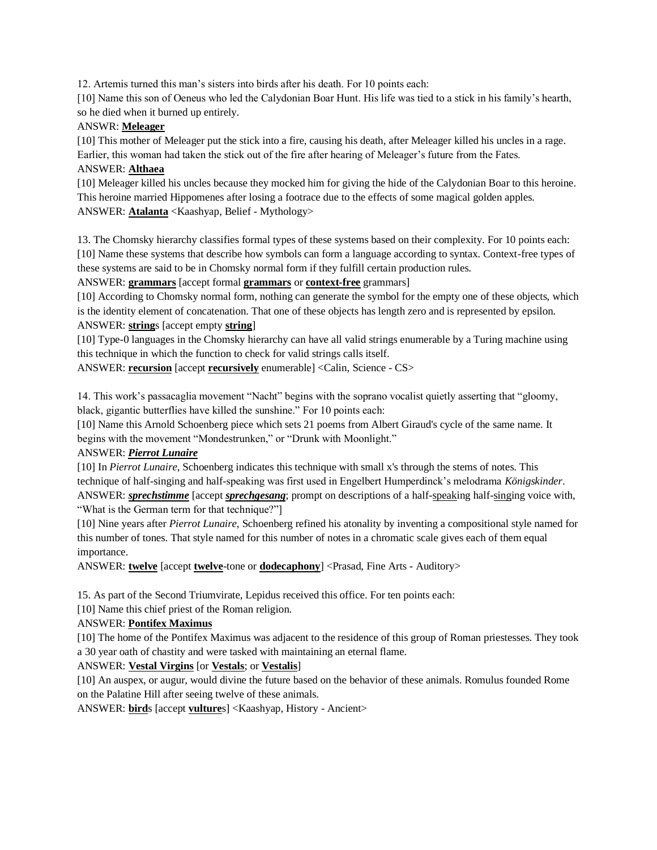12. Artemis turned this man's sisters into birds after his death. For 10 points each:

[10] Name this son of Oeneus who led the Calydonian Boar Hunt. His life was tied to a stick in his family's hearth, so he died when it burned up entirely.

# ANSWR: **Meleager**

[10] This mother of Meleager put the stick into a fire, causing his death, after Meleager killed his uncles in a rage. Earlier, this woman had taken the stick out of the fire after hearing of Meleager's future from the Fates. ANSWER: **Althaea**

[10] Meleager killed his uncles because they mocked him for giving the hide of the Calydonian Boar to this heroine. This heroine married Hippomenes after losing a footrace due to the effects of some magical golden apples. ANSWER: **Atalanta** <Kaashyap, Belief - Mythology>

13. The Chomsky hierarchy classifies formal types of these systems based on their complexity. For 10 points each: [10] Name these systems that describe how symbols can form a language according to syntax. Context-free types of these systems are said to be in Chomsky normal form if they fulfill certain production rules.

ANSWER: **grammars** [accept formal **grammars** or **context-free** grammars]

[10] According to Chomsky normal form, nothing can generate the symbol for the empty one of these objects, which is the identity element of concatenation. That one of these objects has length zero and is represented by epsilon. ANSWER: **string**s [accept empty **string**]

[10] Type-0 languages in the Chomsky hierarchy can have all valid strings enumerable by a Turing machine using this technique in which the function to check for valid strings calls itself.

ANSWER: **recursion** [accept **recursively** enumerable] <Calin, Science - CS>

14. This work's passacaglia movement "Nacht" begins with the soprano vocalist quietly asserting that "gloomy, black, gigantic butterflies have killed the sunshine." For 10 points each:

[10] Name this Arnold Schoenberg piece which sets 21 poems from Albert Giraud's cycle of the same name. It begins with the movement "Mondestrunken," or "Drunk with Moonlight."

# ANSWER: *Pierrot Lunaire*

[10] In *Pierrot Lunaire*, Schoenberg indicates this technique with small x's through the stems of notes. This technique of half-singing and half-speaking was first used in Engelbert Humperdinck's melodrama *Königskinder*. ANSWER: *sprechstimme* [accept *sprechgesang*; prompt on descriptions of a half-speaking half-singing voice with, "What is the German term for that technique?"]

[10] Nine years after *Pierrot Lunaire*, Schoenberg refined his atonality by inventing a compositional style named for this number of tones. That style named for this number of notes in a chromatic scale gives each of them equal importance.

ANSWER: **twelve** [accept **twelve**-tone or **dodecaphony**] <Prasad, Fine Arts - Auditory>

15. As part of the Second Triumvirate, Lepidus received this office. For ten points each:

[10] Name this chief priest of the Roman religion.

# ANSWER: **Pontifex Maximus**

[10] The home of the Pontifex Maximus was adjacent to the residence of this group of Roman priestesses. They took a 30 year oath of chastity and were tasked with maintaining an eternal flame.

#### ANSWER: **Vestal Virgins** [or **Vestals**; or **Vestalis**]

[10] An auspex, or augur, would divine the future based on the behavior of these animals. Romulus founded Rome on the Palatine Hill after seeing twelve of these animals.

ANSWER: **bird**s [accept **vulture**s] <Kaashyap, History - Ancient>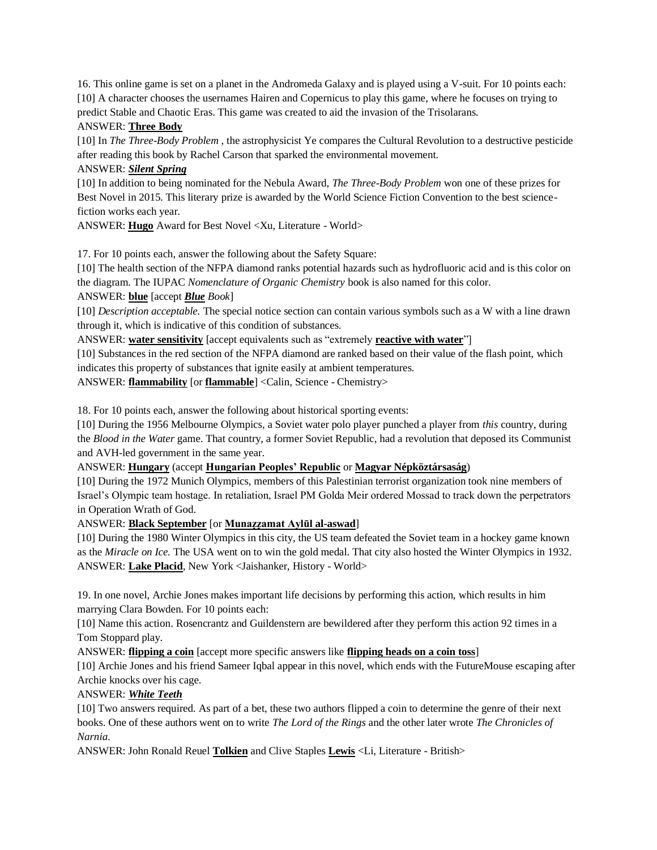16. This online game is set on a planet in the Andromeda Galaxy and is played using a V-suit. For 10 points each: [10] A character chooses the usernames Hairen and Copernicus to play this game, where he focuses on trying to predict Stable and Chaotic Eras. This game was created to aid the invasion of the Trisolarans. ANSWER: **Three Body**

[10] In *The Three-Body Problem* , the astrophysicist Ye compares the Cultural Revolution to a destructive pesticide after reading this book by Rachel Carson that sparked the environmental movement.

#### ANSWER: *Silent Spring*

[10] In addition to being nominated for the Nebula Award, *The Three-Body Problem* won one of these prizes for Best Novel in 2015. This literary prize is awarded by the World Science Fiction Convention to the best sciencefiction works each year.

ANSWER: **Hugo** Award for Best Novel <Xu, Literature - World>

17. For 10 points each, answer the following about the Safety Square:

[10] The health section of the NFPA diamond ranks potential hazards such as hydrofluoric acid and is this color on the diagram. The IUPAC *Nomenclature of Organic Chemistry* book is also named for this color.

#### ANSWER: **blue** [accept *Blue Book*]

[10] *Description acceptable.* The special notice section can contain various symbols such as a W with a line drawn through it, which is indicative of this condition of substances.

ANSWER: **water sensitivity** [accept equivalents such as "extremely **reactive with water**"]

[10] Substances in the red section of the NFPA diamond are ranked based on their value of the flash point, which indicates this property of substances that ignite easily at ambient temperatures.

ANSWER: **flammability** [or **flammable**] <Calin, Science - Chemistry>

18. For 10 points each, answer the following about historical sporting events:

[10] During the 1956 Melbourne Olympics, a Soviet water polo player punched a player from *this* country, during the *Blood in the Water* game. That country, a former Soviet Republic, had a revolution that deposed its Communist and AVH-led government in the same year.

ANSWER: **Hungary** (accept **Hungarian Peoples' Republic** or **Magyar Népköztársaság**)

[10] During the 1972 Munich Olympics, members of this Palestinian terrorist organization took nine members of Israel's Olympic team hostage. In retaliation, Israel PM Golda Meir ordered Mossad to track down the perpetrators in Operation Wrath of God.

ANSWER: **Black September** [or **Munaẓẓamat Aylūl al-aswad**]

[10] During the 1980 Winter Olympics in this city, the US team defeated the Soviet team in a hockey game known as the *Miracle on Ice.* The USA went on to win the gold medal. That city also hosted the Winter Olympics in 1932. ANSWER: **Lake Placid**, New York <Jaishanker, History - World>

19. In one novel, Archie Jones makes important life decisions by performing this action, which results in him marrying Clara Bowden. For 10 points each:

[10] Name this action. Rosencrantz and Guildenstern are bewildered after they perform this action 92 times in a Tom Stoppard play.

ANSWER: **flipping a coin** [accept more specific answers like **flipping heads on a coin toss**]

[10] Archie Jones and his friend Sameer Iqbal appear in this novel, which ends with the FutureMouse escaping after Archie knocks over his cage.

# ANSWER: *White Teeth*

[10] Two answers required. As part of a bet, these two authors flipped a coin to determine the genre of their next books. One of these authors went on to write *The Lord of the Rings* and the other later wrote *The Chronicles of Narnia*.

ANSWER: John Ronald Reuel **Tolkien** and Clive Staples **Lewis** <Li, Literature - British>